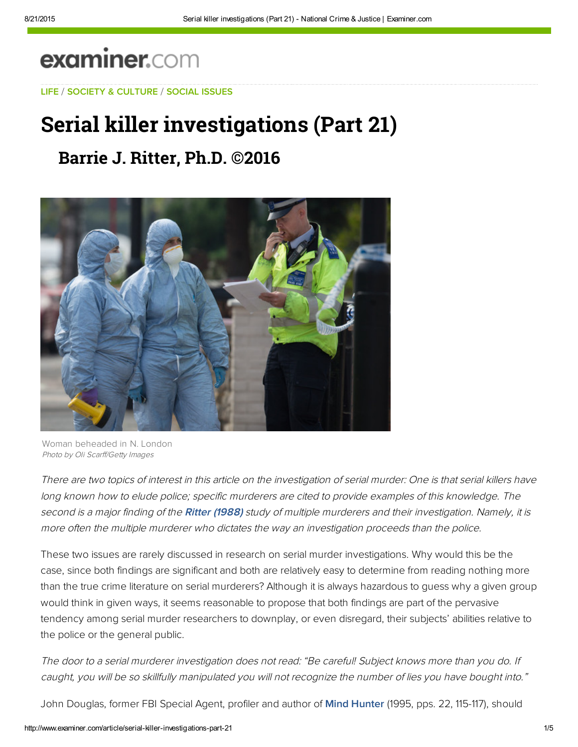# examiner.com

[LIFE](http://www.examiner.com/topic/life) / [SOCIETY & C](http://web.adblade.com/clicks.php?appId=10176&zid=55d22321182e6&adId=234251&pos=1&impt=1440185353&zoneId=797&algid=4&reqid=53d46f217bcb10bd&ord=1440185353&url=http%3A%2F%2Fwww.examiner.com%2Farticle%2Fserial-killer-investigations-part-21)[ULTURE](http://www.examiner.com/society-and-culture) / [S](http://web.adblade.com/clicks.php?appId=10176&zid=55d22abc49c21&adId=234283&pos=2&impt=1440185353&zoneId=797&algid=4&reqid=53d46f217bcb10bd&ord=1440185353&url=http%3A%2F%2Fwww.examiner.com%2Farticle%2Fserial-killer-investigations-part-21)[OCIAL ISSUES](http://www.examiner.com/social-issues)

## [Serial](http://web.adblade.com/clicks.php?appId=10176&zid=55d22321182e6&adId=234251&pos=1&impt=1440185353&zoneId=797&algid=4&reqid=53d46f217bcb10bd&ord=1440185353&url=http%3A%2F%2Fwww.examiner.com%2Farticle%2Fserial-killer-investigations-part-21) [ki](https://disqus.com/by/jackritter/)[l](http://www.examiner.com/article/serial-killer-investigations-part-21#comment-1608632005)[ler inve](http://web.adblade.com/clicks.php?appId=10176&zid=55d22abc49c21&adId=234283&pos=2&impt=1440185353&zoneId=797&algid=4&reqid=53d46f217bcb10bd&ord=1440185353&url=http%3A%2F%2Fwww.examiner.com%2Farticle%2Fserial-killer-investigations-part-21)stigations (Part 21)

### **Barrie J. Ritt[er](http://www.examiner.com/article/serial-killer-investigations-part-21#comment-1608632005), Ph.D. ©2016**



Woman beheaded in N. London Photo by Oli Scarff/Getty Images

There are two topics of interest in this article on the investigation of serial murder: One is that serial killers have long known how to elude police; specific murderers are cited to provide examples of this knowledge. The second is a major finding of the [Ritter \(1988\)](http://%20bit.ly/1ubDkdG) study of multiple murderers and their investigation. Namely, it is more often the multiple murderer who dictates the way an investigation proceeds than the police.

These two issues are rarely discussed in research on serial murder investigations. Why would this be the case, since both findings are significant and both are relatively easy to determine from reading nothing more than the true crime literature on serial murderers? Although it is always hazardous to guess why a given group would think in given ways, it seems reasonable to propose that both findings are part of the pervasive tendency among serial murder researchers to downplay, or even disregard, their subjects' abilities relative to the police or the general public.

The door to a serial murderer investigation does not read: "Be careful! Subject knows more than you do. If caught, you will be so skillfully manipulated you will not recognize the number of lies you have bought into."

John Douglas, former FBI Special Agent, profiler and author of **Mind Hunter** (1995, pps. 22, 115-117), should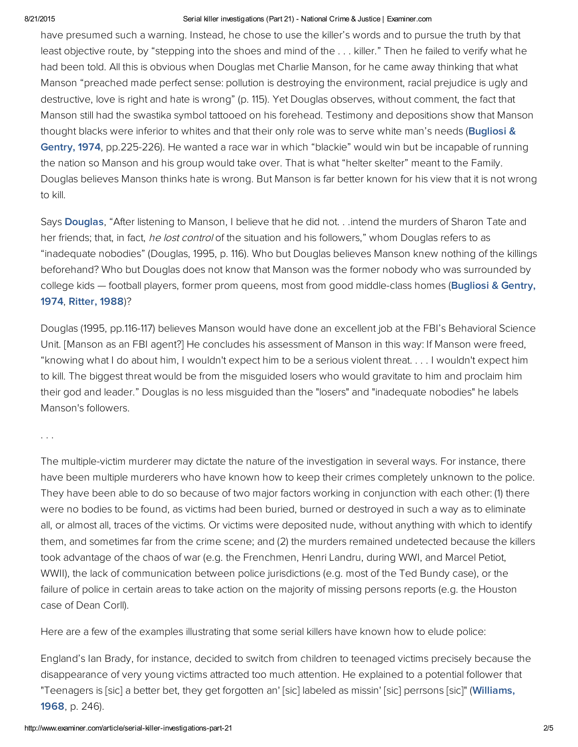#### 8/21/2015 Serial killer investigations (Part 21) National Crime & Justice | Examiner.com

have presumed such a warning. Instead, he chose to use the killer's words and to pursue the truth by that least objective route, by "stepping into the shoes and mind of the . . . killer." Then he failed to verify what he had been told. All this is obvious when Douglas met Charlie Manson, for he came away thinking that what Manson "preached made perfect sense: pollution is destroying the environment, racial prejudice is ugly and destructive, love is right and hate is wrong" (p. 115). Yet Douglas observes, without comment, the fact that Manson still had the swastika symbol tattooed on his forehead. Testimony and depositions show that Manson thought blacks were inferior to whites and that their only role was to serve white man's needs (Bugliosi & Gentry, 1974, [pp.225-226\).](http://%20bit.ly/1pn6Dpm) He wanted a race war in which "blackie" would win but be incapable of running the nation so Manson and his group would take over. That is what "helter skelter" meant to the Family. Douglas believes Manson thinks hate is wrong. But Manson is far better known for his view that it is not wrong to kill.

Says [Douglas](http://amzn.to/1pfw9wl), "After listening to Manson, I believe that he did not. . .intend the murders of Sharon Tate and her friends; that, in fact, he lost control of the situation and his followers," whom Douglas refers to as "inadequate nobodies" (Douglas, 1995, p. 116). Who but Douglas believes Manson knew nothing of the killings beforehand? Who but Douglas does not know that Manson was the former nobody who was surrounded by college kids — football players, former prom queens, most from good [middle-class](http://bit.ly/1pn6Dpm) homes (Bugliosi & Gentry, 1974, [Ritt](http://pubnation.com/)[er,](http://bit.ly/1ubDkdG) 1988)?

Douglas (1995, pp.116-117) believes Manson would have done an excellent job at the FBI's Behavioral Science Unit. [Manson as an FBI agent?] He concludes his assessment of Manson in this way: If Manson were freed, "knowing what I do about him, I wouldn't expect him to be a serious violent threat. . . . I wouldn't expect him to kill. The biggest threat would be from the misguided losers who would gravitate to him and proclaim him their god and leader." Douglas is no less misguided than the "losers" and "inadequate nobodies" he labels Manson's followers.

#### . . .

The multiple-victim murderer may dictate the nature of the investigation in several ways. For instance, there have been multiple murderers who have known how to keep their crimes completely unknown to the police. They have been able to do so because of two major factors working in conjunction with each other: (1) there were no bodies to be found, as victims had been buried, burned or destroyed in such a way as to eliminate all, or almost all, traces of the victims. Or victims were deposited nude, without anything with which to identify them, and sometimes far from the crime scene; and (2) the murders remained undetected because the killers took advantage of the chaos of war (e.g. the Frenchmen, Henri Landru, during WWI, and Marcel Petiot, WWII), the lack of communication between police jurisdictions (e.g. most of the Ted Bundy case), or the failure of police in certain areas to take action on the majority of missing persons reports (e.g. the Houston case of Dean Corll).

Here are a few of the examples illustrating that some serial killers have known how to elude police:

England's Ian Brady, for instance, decided to switch from children to teenaged victims precisely because the disappearance of very young victims attracted too much attention. He explained to a potential follower that ["Teenagers](http://bit.ly/1raDNfZ) is [sic] a better bet, they get forgotten an' [sic] labeled as missin' [sic] perrsons [sic]" (Williams, 1968, p. 246).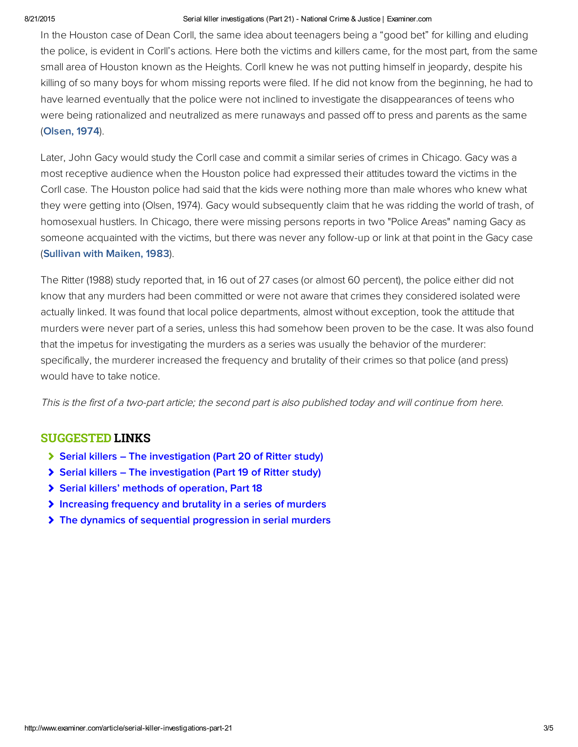#### 8/21/2015 Serial killer investigations (Part 21) National Crime & Justice | Examiner.com

In the Houston case of Dean Corll, the same idea about teenagers being a "good bet" for killing and eluding the police, is evident in Corll's actions. Here both the victims and killers came, for the most part, from the same small area of Houston known as the Heights. Corll knew he was not putting himself in jeopardy, despite his killing of so many boys for whom missing reports were filed. If he did not know from the beginning, he had to have learned eventually that the police were not inclined to investigate the disappearances of teens who were being rationalized and neutralized as mere runaways and passed off to press and parents as the same ([Olsen, 1974](http://bit.ly/1raDyl6)).

Later, John Gacy would study the Corll case and commit a similar series of crimes in Chicago. Gacy was a most receptive audience when the Houston police had expressed their attitudes toward the victims in the Corll case. The Houston police had said that the kids were nothing more than male whores who knew what they were getting into (Olsen, 1974). Gacy would subsequently claim that he was ridding the world of trash, of homosexual hustlers. In Chicago, there were missing persons reports in two "Police Areas" naming Gacy as someone acquainted with the victims, but there was never any follow-up or link at that point in the Gacy case ([Sullivan with Maiken, 1983](http://bit.ly/1qk9oIe)).

The Ritter (1988) study reported that, in 16 out of 27 cases (or almost 60 percent), the police either did not know that any murders had been committed or were not aware that crimes they considered isolated were actually linked. It was found that local police departments, almost without exception, took the attitude that murders were never part of a series, unless this had somehow been proven to be the case. It was also found that the impetus for investigating the murders as a series was usually the behavior of the murderer: specifically, the murderer increased the frequency and brutality of their crimes so that police (and press) would have to take notice.

This is the first of a two-part article; the second part is also published today and will continue from here.

#### SUGGESTED LINKS

- [Serial killers The investigation \(Part 20 of Ritter study\)](http://www.ritterhomicideresearch.com/articles/Part-20.pdf)
- [Serial killers The investigation \(Part 19 of Ritter study\)](http://www.ritterhomicideresearch.com/articles/Part-19.pdf)
- [Serial killers' methods of operation, Part 18](http://www.ritterhomicideresearch.com/articles/Part-18.pdf)
- [Increasing frequency and brutality in a series of murders](http://www.ritterhomicideresearch.com/articles/Increasing-frequency-and-brutality-in-a-series-of-murders.pdf)
- [The dynamics of sequential progression in serial murders](http://www.ritterhomicideresearch.com/articles/The-dynamics-of-sequential-progression-in-serial-murders.pdf)